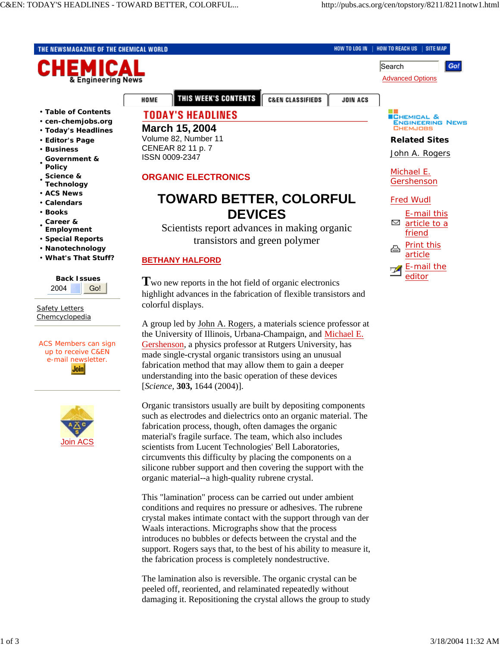**Advanced Options** 

HOW TO REACH US | SITE MAP

Search

HOW TO LOG IN

**JOIN ACS** 

THE NEWSMAGAZINE OF THE CHEMICAL WORLD



• **Table of Contents**

- **cen-chemjobs.org**
- **Today's Headlines**
- **Editor's Page**
- **Business**
- **Government & Policy**
- **Science &**
- **Technology**
- **ACS News** • **Calendars**
- **Books**
- **Career &**
- **Employment**
- **Special Reports**
- **Nanotechnology**
- **What's That Stuff?**

| <b>Back Issues</b> |  |
|--------------------|--|
| 2004               |  |

**Safety Letters Chemcyclopedia** 

ACS Members can sign up to receive C&EN e-mail newsletter. **Join** 



THIS WEEK'S CONTENTS

# **TODAY'S HEADLINES**

### **March 15, 2004**

HOME

Volume 82, Number 11 CENEAR 82 11 p. 7 ISSN 0009-2347

# **ORGANIC ELECTRONICS**

# **TOWARD BETTER, COLORFUL DEVICES**

**C&EN CLASSIFIEDS** 

Scientists report advances in making organic transistors and green polymer

## **BETHANY HALFORD**

**T**wo new reports in the hot field of organic electronics highlight advances in the fabrication of flexible transistors and colorful displays.

A group led by John A. Rogers, a materials science professor at the University of Illinois, Urbana-Champaign, and Michael E. Gershenson, a physics professor at Rutgers University, has made single-crystal organic transistors using an unusual fabrication method that may allow them to gain a deeper understanding into the basic operation of these devices [*Science,* **303,** 1644 (2004)].

Organic transistors usually are built by depositing components such as electrodes and dielectrics onto an organic material. The fabrication process, though, often damages the organic material's fragile surface. The team, which also includes scientists from Lucent Technologies' Bell Laboratories, circumvents this difficulty by placing the components on a silicone rubber support and then covering the support with the organic material--a high-quality rubrene crystal.

This "lamination" process can be carried out under ambient conditions and requires no pressure or adhesives. The rubrene crystal makes intimate contact with the support through van der Waals interactions. Micrographs show that the process introduces no bubbles or defects between the crystal and the support. Rogers says that, to the best of his ability to measure it, the fabrication process is completely nondestructive.

The lamination also is reversible. The organic crystal can be peeled off, reoriented, and relaminated repeatedly without damaging it. Repositioning the crystal allows the group to study



Gol

### **Related Sites**

John A. Rogers

Michael E. Gershenson

#### Fred Wudl

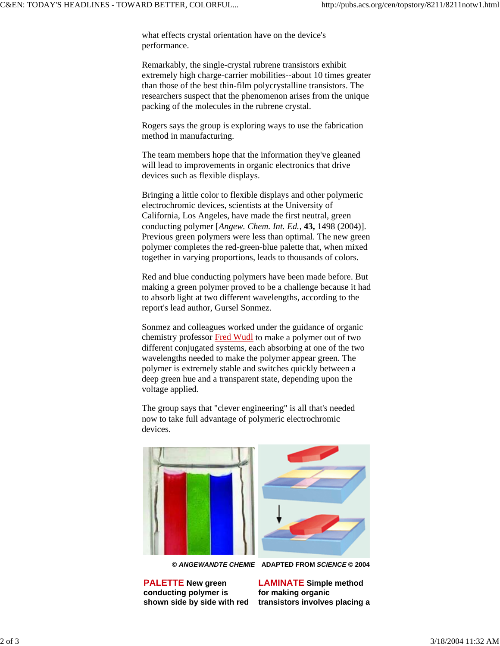what effects crystal orientation have on the device's performance.

Remarkably, the single-crystal rubrene transistors exhibit extremely high charge-carrier mobilities--about 10 times greater than those of the best thin-film polycrystalline transistors. The researchers suspect that the phenomenon arises from the unique packing of the molecules in the rubrene crystal.

Rogers says the group is exploring ways to use the fabrication method in manufacturing.

The team members hope that the information they've gleaned will lead to improvements in organic electronics that drive devices such as flexible displays.

Bringing a little color to flexible displays and other polymeric electrochromic devices, scientists at the University of California, Los Angeles, have made the first neutral, green conducting polymer [*Angew. Chem. Int. Ed.*, **43,** 1498 (2004)]. Previous green polymers were less than optimal. The new green polymer completes the red-green-blue palette that, when mixed together in varying proportions, leads to thousands of colors.

Red and blue conducting polymers have been made before. But making a green polymer proved to be a challenge because it had to absorb light at two different wavelengths, according to the report's lead author, Gursel Sonmez.

Sonmez and colleagues worked under the guidance of organic chemistry professor Fred Wudl to make a polymer out of two different conjugated systems, each absorbing at one of the two wavelengths needed to make the polymer appear green. The polymer is extremely stable and switches quickly between a deep green hue and a transparent state, depending upon the voltage applied.

The group says that "clever engineering" is all that's needed now to take full advantage of polymeric electrochromic devices.



**©** *ANGEWANDTE CHEMIE* **ADAPTED FROM** *SCIENCE* **© 2004**

**PALETTE New green conducting polymer is shown side by side with red**

**LAMINATE Simple method for making organic transistors involves placing a**